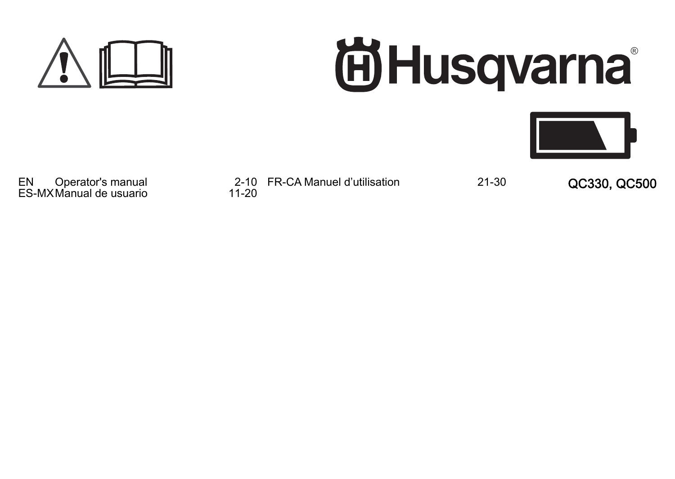

# **尚Husqvarna**



ES-MX Manual de usuario

EN Operator's manual 2-10 FR-CA Manuel d'utilisation<br>ES-MX Manual de usuario 2011-20

FR-CA Manuel d'utilisation 21-30 QC330, QC500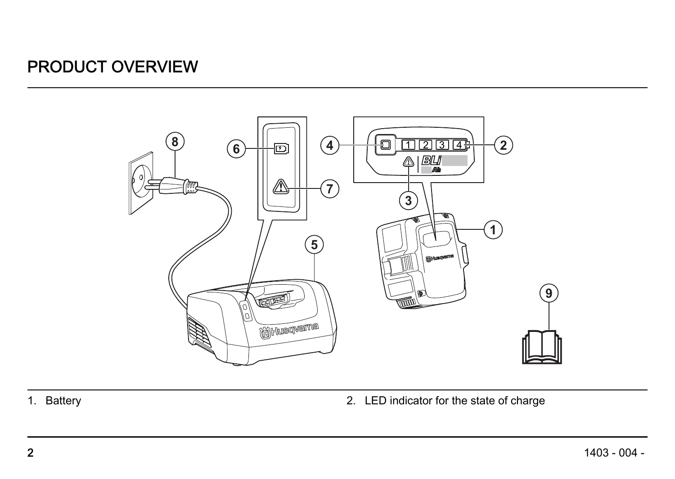#### PRODUCT OVERVIEW



- 
- 1. Battery **1.** Battery **1.** Battery **2.** LED indicator for the state of charge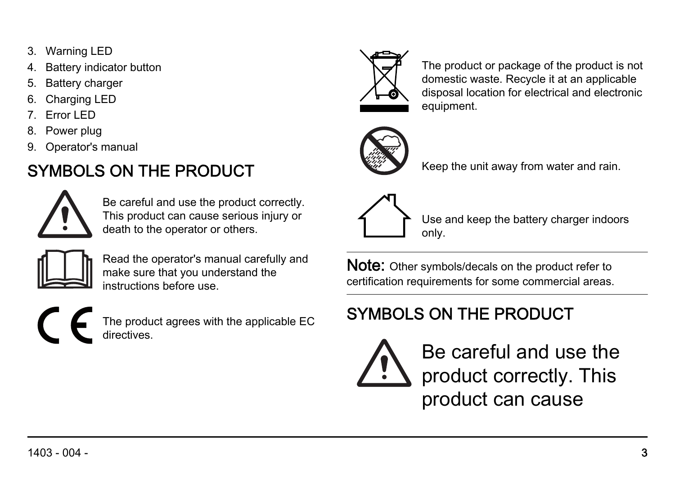- 3. Warning LED
- Battery indicator button
- 5. Battery charger
- Charging LED
- 7. Error LED
- 8. Power plug
- 9. Operator's manual

#### SYMBOLS ON THE PRODUCT



Be careful and use the product correctly. This product can cause serious injury or death to the operator or others.



Read the operator's manual carefully and make sure that you understand the instructions before use.

The product agrees with the applicable EC directives.



The product or package of the product is not domestic waste. Recycle it at an applicable disposal location for electrical and electronic equipment.



Keep the unit away from water and rain.



Use and keep the battery charger indoors only.

Note: Other symbols/decals on the product refer to certification requirements for some commercial areas.

#### SYMBOLS ON THE PRODUCT



Be careful and use the product correctly. This product can cause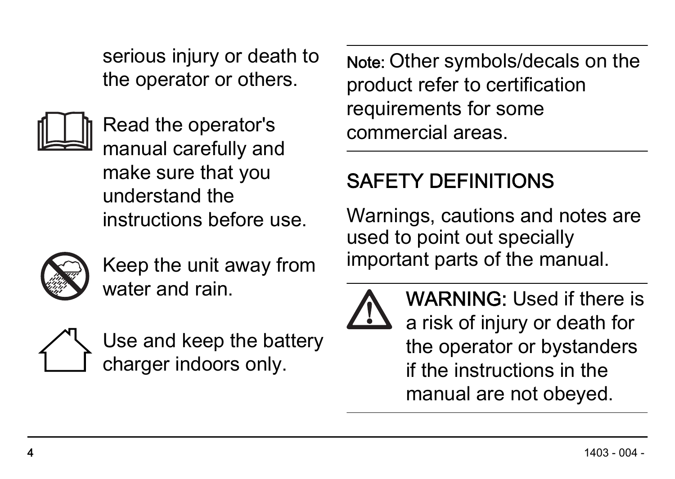serious injury or death to the operator or others.



Read the operator's manual carefully and make sure that you understand the instructions before use.



Keep the unit away from water and rain.



Use and keep the battery charger indoors only.

Note: Other symbols/decals on the product refer to certification requirements for some commercial areas.

### SAFETY DEFINITIONS

Warnings, cautions and notes are used to point out specially important parts of the manual.



WARNING: Used if there is a risk of injury or death for the operator or bystanders if the instructions in the manual are not obeyed.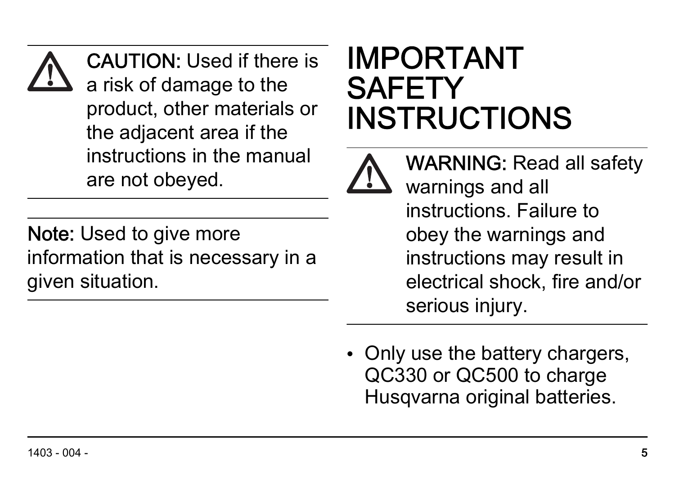CAUTION: Used if there is a risk of damage to the product, other materials or the adjacent area if the instructions in the manual are not obeyed.

Note: Used to give more information that is necessary in a given situation.

# IMPORTANT **SAFETY** INSTRUCTIONS



WARNING: Read all safety warnings and all instructions. Failure to obey the warnings and instructions may result in electrical shock, fire and/or serious injury.

• Only use the battery chargers, QC330 or QC500 to charge Husqvarna original batteries.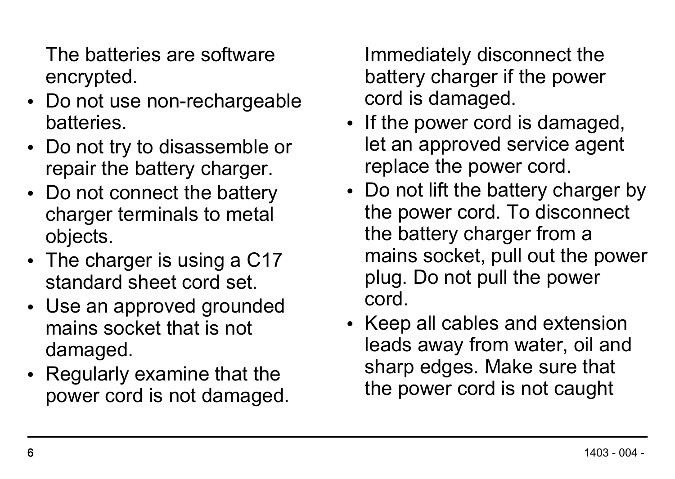The batteries are software encrypted.

- Do not use non-rechargeable batteries.
- Do not try to disassemble or repair the battery charger.
- Do not connect the battery charger terminals to metal objects.
- The charger is using a C17 standard sheet cord set.
- Use an approved grounded mains socket that is not damaged.
- Regularly examine that the power cord is not damaged.

Immediately disconnect the battery charger if the power cord is damaged.

- If the power cord is damaged, let an approved service agent replace the power cord.
- Do not lift the battery charger by the power cord. To disconnect the battery charger from a mains socket, pull out the power plug. Do not pull the power cord.
- Keep all cables and extension leads away from water, oil and sharp edges. Make sure that the power cord is not caught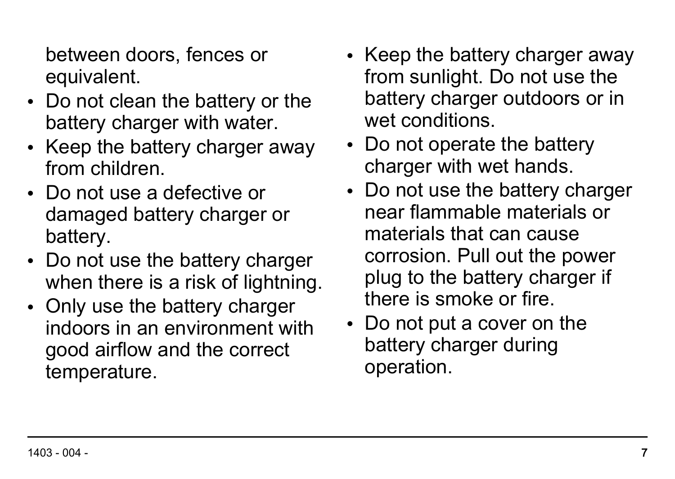between doors, fences or equivalent.

- Do not clean the battery or the battery charger with water.
- Keep the battery charger away from children.
- Do not use a defective or damaged battery charger or battery.
- Do not use the battery charger when there is a risk of lightning.
- Only use the battery charger indoors in an environment with good airflow and the correct temperature.
- Keep the battery charger away from sunlight. Do not use the battery charger outdoors or in wet conditions.
- Do not operate the battery charger with wet hands.
- Do not use the battery charger near flammable materials or materials that can cause corrosion. Pull out the power plug to the battery charger if there is smoke or fire.
- Do not put a cover on the battery charger during operation.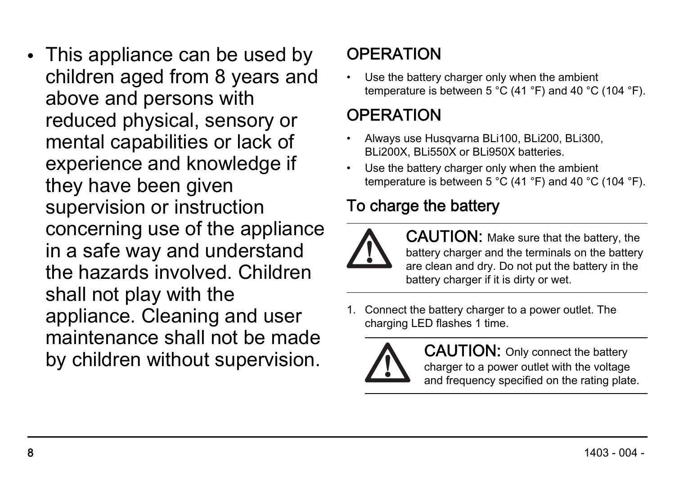• This appliance can be used by children aged from 8 years and above and persons with reduced physical, sensory or mental capabilities or lack of experience and knowledge if they have been given supervision or instruction concerning use of the appliance in a safe way and understand the hazards involved. Children shall not play with the appliance. Cleaning and user maintenance shall not be made by children without supervision.

#### **OPERATION**

Use the battery charger only when the ambient temperature is between 5 °C (41 °F) and 40 °C (104 °F).

#### **OPERATION**

- Always use Husqvarna BLi100, BLi200, BLi300, BLi200X, BLi550X or BLi950X batteries.
- Use the battery charger only when the ambient temperature is between 5 °C (41 °F) and 40 °C (104 °F).

#### To charge the battery



CAUTION: Make sure that the battery, the battery charger and the terminals on the battery are clean and dry. Do not put the battery in the battery charger if it is dirty or wet.

Connect the battery charger to a power outlet. The charging LED flashes 1 time.



CAUTION: Only connect the battery charger to a power outlet with the voltage and frequency specified on the rating plate.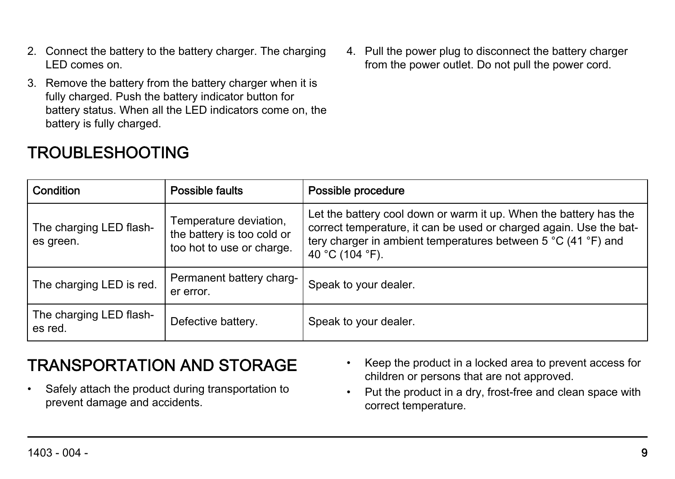- 2. Connect the battery to the battery charger. The charging LED comes on.
- 3. Remove the battery from the battery charger when it is fully charged. Push the battery indicator button for battery status. When all the LED indicators come on, the battery is fully charged.

#### TROUBLESHOOTING

4. Pull the power plug to disconnect the battery charger from the power outlet. Do not pull the power cord.

| Condition                            | Possible faults                                                                   | Possible procedure                                                                                                                                                                                                          |
|--------------------------------------|-----------------------------------------------------------------------------------|-----------------------------------------------------------------------------------------------------------------------------------------------------------------------------------------------------------------------------|
| The charging LED flash-<br>es green. | Temperature deviation,<br>the battery is too cold or<br>too hot to use or charge. | Let the battery cool down or warm it up. When the battery has the<br>correct temperature, it can be used or charged again. Use the bat-<br>tery charger in ambient temperatures between 5 °C (41 °F) and<br>40 °C (104 °F). |
| The charging LED is red.             | Permanent battery charg-<br>er error.                                             | Speak to your dealer.                                                                                                                                                                                                       |
| The charging LED flash-<br>es red.   | Defective battery.                                                                | Speak to your dealer.                                                                                                                                                                                                       |

#### TRANSPORTATION AND STORAGE

• Safely attach the product during transportation to prevent damage and accidents.

- Keep the product in a locked area to prevent access for children or persons that are not approved.
- Put the product in a dry, frost-free and clean space with correct temperature.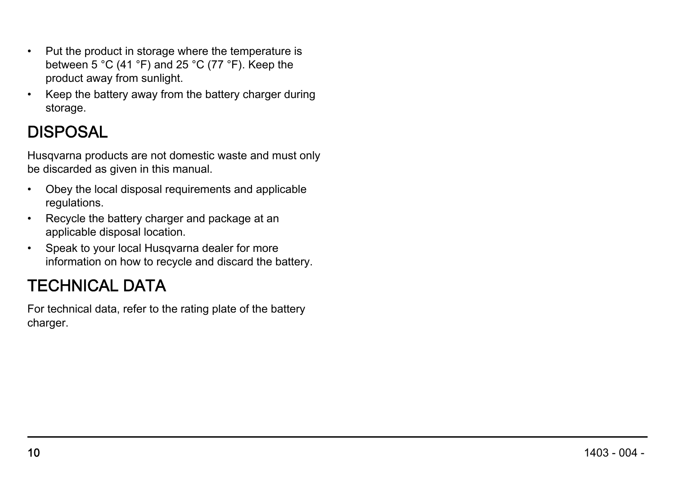- Put the product in storage where the temperature is between 5 °C (41 °F) and 25 °C (77 °F). Keep the product away from sunlight.
- Keep the battery away from the battery charger during storage.

#### **DISPOSAL**

Husqvarna products are not domestic waste and must only be discarded as given in this manual.

- Obey the local disposal requirements and applicable regulations.
- Recycle the battery charger and package at an applicable disposal location.
- Speak to your local Husqvarna dealer for more information on how to recycle and discard the battery.

#### TECHNICAL DATA

For technical data, refer to the rating plate of the battery charger.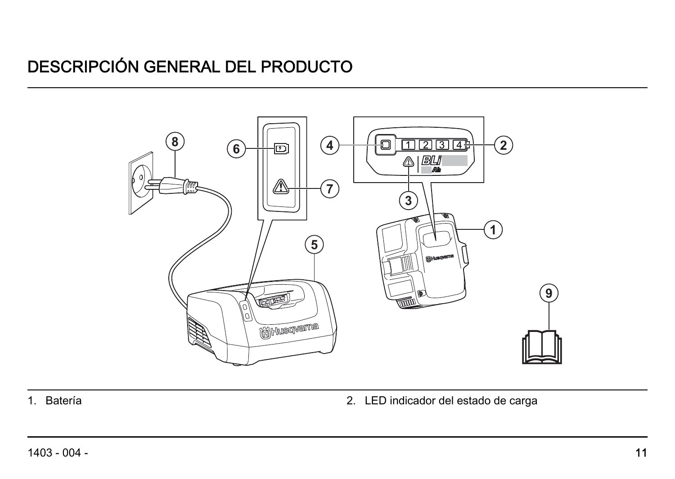#### DESCRIPCIÓN GENERAL DEL PRODUCTO



1. Batería 2. LED indicador del estado de carga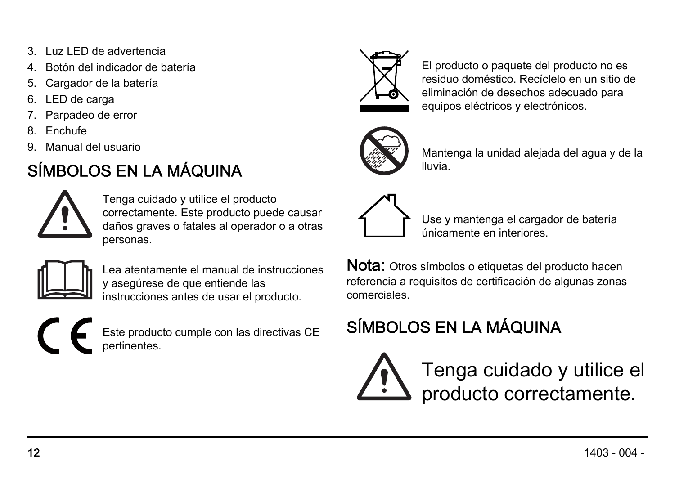- 3. Luz LED de advertencia
- 4. Botón del indicador de batería
- 5. Cargador de la batería
- 6. LED de carga
- Parpadeo de error
- 8. Enchufe
- 9. Manual del usuario

#### SÍMBOLOS EN LA MÁQUINA



Tenga cuidado y utilice el producto correctamente. Este producto puede causar daños graves o fatales al operador o a otras personas.



Lea atentamente el manual de instrucciones y asegúrese de que entiende las instrucciones antes de usar el producto.



Este producto cumple con las directivas CE pertinentes.



El producto o paquete del producto no es residuo doméstico. Recíclelo en un sitio de eliminación de desechos adecuado para equipos eléctricos y electrónicos.



Mantenga la unidad alejada del agua y de la lluvia.



Use y mantenga el cargador de batería únicamente en interiores.

Nota: Otros símbolos o etiquetas del producto hacen referencia a requisitos de certificación de algunas zonas comerciales.

#### SÍMBOLOS EN LA MÁQUINA

Tenga cuidado y utilice el producto correctamente.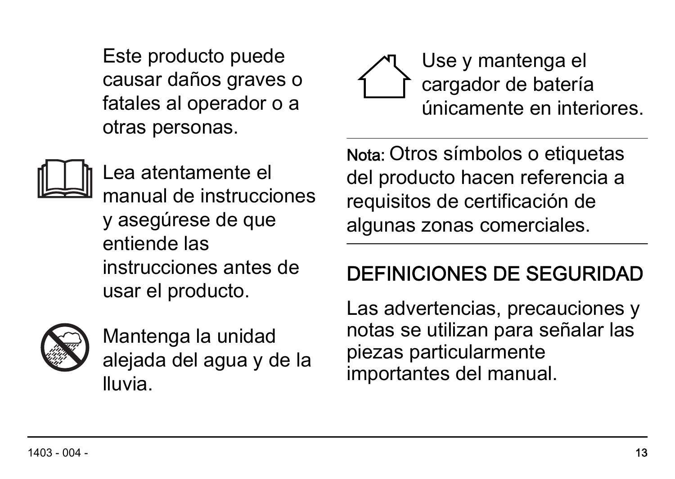Este producto puede causar daños graves o fatales al operador o a otras personas.



Lea atentamente el manual de instrucciones y asegúrese de que entiende las instrucciones antes de usar el producto.



Mantenga la unidad alejada del agua y de la lluvia.

Use y mantenga el cargador de batería únicamente en interiores.

Nota: Otros símbolos o etiquetas del producto hacen referencia a requisitos de certificación de algunas zonas comerciales.

#### DEFINICIONES DE SEGURIDAD

Las advertencias, precauciones y notas se utilizan para señalar las piezas particularmente importantes del manual.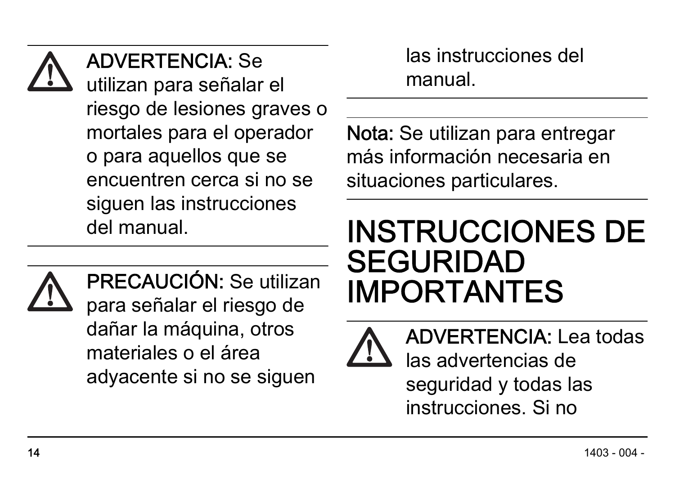ADVERTENCIA: Se

utilizan para señalar el riesgo de lesiones graves o mortales para el operador o para aquellos que se encuentren cerca si no se siguen las instrucciones del manual.



PRECAUCIÓN: Se utilizan para señalar el riesgo de dañar la máquina, otros materiales o el área adyacente si no se siguen

las instrucciones del manual.

Nota: Se utilizan para entregar más información necesaria en situaciones particulares.

## INSTRUCCIONES DE SEGURIDAD IMPORTANTES



ADVERTENCIA: Lea todas las advertencias de seguridad y todas las instrucciones. Si no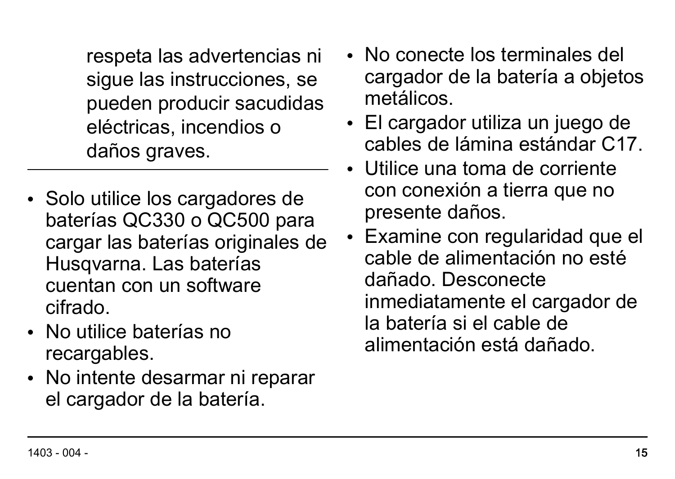respeta las advertencias ni sigue las instrucciones, se pueden producir sacudidas eléctricas, incendios o daños graves.

- Solo utilice los cargadores de baterías QC330 o QC500 para cargar las baterías originales de Husqvarna. Las baterías cuentan con un software cifrado.
- No utilice baterías no recargables.
- No intente desarmar ni reparar el cargador de la batería.
- No conecte los terminales del cargador de la batería a objetos metálicos.
- El cargador utiliza un juego de cables de lámina estándar C17.
- Utilice una toma de corriente con conexión a tierra que no presente daños.
- Examine con regularidad que el cable de alimentación no esté dañado. Desconecte inmediatamente el cargador de la batería si el cable de alimentación está dañado.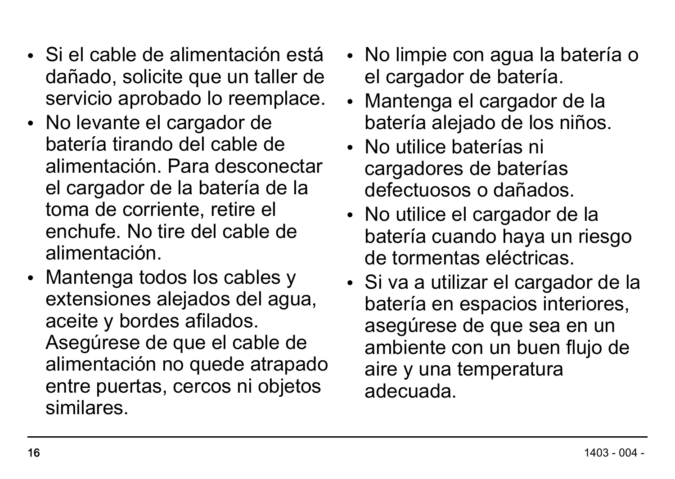- Si el cable de alimentación está dañado, solicite que un taller de servicio aprobado lo reemplace.
- No levante el cargador de batería tirando del cable de alimentación. Para desconectar el cargador de la batería de la toma de corriente, retire el enchufe. No tire del cable de alimentación.
- Mantenga todos los cables y extensiones alejados del agua, aceite y bordes afilados. Asegúrese de que el cable de alimentación no quede atrapado entre puertas, cercos ni objetos similares.
- No limpie con agua la batería o el cargador de batería.
- Mantenga el cargador de la batería alejado de los niños.
- No utilice baterías ni cargadores de baterías defectuosos o dañados.
- No utilice el cargador de la batería cuando haya un riesgo de tormentas eléctricas.
- Si va a utilizar el cargador de la batería en espacios interiores, asegúrese de que sea en un ambiente con un buen flujo de aire y una temperatura adecuada.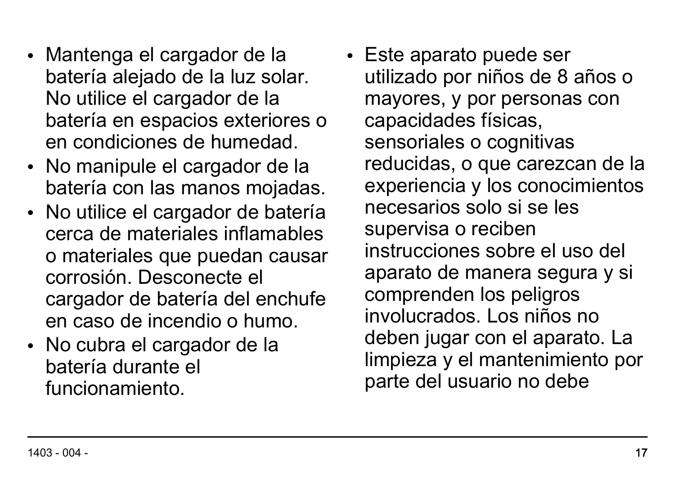- Mantenga el cargador de la batería alejado de la luz solar. No utilice el cargador de la batería en espacios exteriores o en condiciones de humedad.
- No manipule el cargador de la batería con las manos mojadas.
- No utilice el cargador de batería cerca de materiales inflamables o materiales que puedan causar corrosión. Desconecte el cargador de batería del enchufe en caso de incendio o humo.
- No cubra el cargador de la batería durante el funcionamiento.

• Este aparato puede ser utilizado por niños de 8 años o mayores, y por personas con capacidades físicas, sensoriales o cognitivas reducidas, o que carezcan de la experiencia y los conocimientos necesarios solo si se les supervisa o reciben instrucciones sobre el uso del aparato de manera segura y si comprenden los peligros involucrados. Los niños no deben jugar con el aparato. La limpieza y el mantenimiento por parte del usuario no debe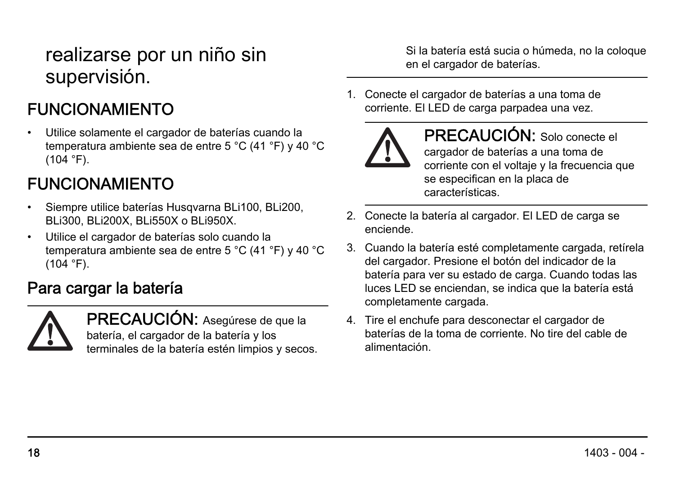#### realizarse por un niño sin supervisión.

#### FUNCIONAMIENTO

• Utilice solamente el cargador de baterías cuando la temperatura ambiente sea de entre 5 °C (41 °F) y 40 °C  $(104 °F)$ .

#### FUNCIONAMIENTO

- Siempre utilice baterías Husqvarna BLi100, BLi200 BLi300, BLi200X, BLi550X o BLi950X.
- Utilice el cargador de baterías solo cuando la temperatura ambiente sea de entre 5 °C (41 °F) y 40 °C  $(104 °F)$ .

#### Para cargar la batería



PRECAUCIÓN: Asegúrese de que la batería, el cargador de la batería y los terminales de la batería estén limpios y secos. Si la batería está sucia o húmeda, no la coloque en el cargador de baterías.

1. Conecte el cargador de baterías a una toma de corriente. El LED de carga parpadea una vez.



PRECAUCIÓN: Solo conecte el cargador de baterías a una toma de corriente con el voltaje y la frecuencia que se especifican en la placa de características.

- 2. Conecte la batería al cargador. ELLED de carga se enciende.
- 3. Cuando la batería esté completamente cargada, retírela del cargador. Presione el botón del indicador de la batería para ver su estado de carga. Cuando todas las luces LED se enciendan, se indica que la batería está completamente cargada.
- 4. Tire el enchufe para desconectar el cargador de baterías de la toma de corriente. No tire del cable de alimentación.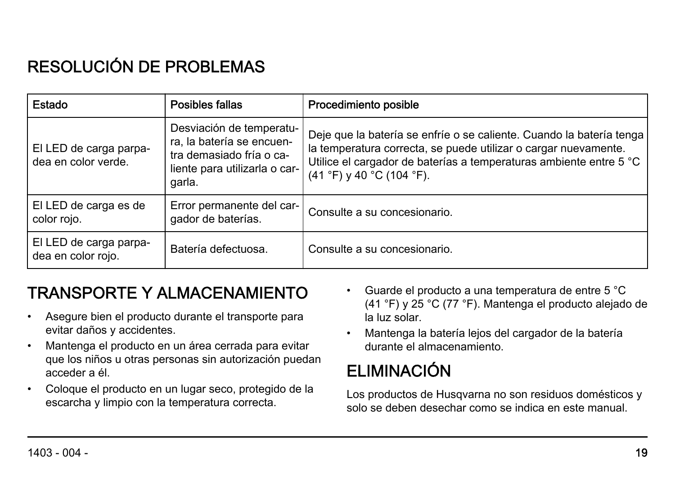#### RESOLUCIÓN DE PROBLEMAS

| Estado                                        | Posibles fallas                                                                                                              | Procedimiento posible                                                                                                                                                                                                                        |
|-----------------------------------------------|------------------------------------------------------------------------------------------------------------------------------|----------------------------------------------------------------------------------------------------------------------------------------------------------------------------------------------------------------------------------------------|
| El LED de carga parpa-<br>dea en color verde. | Desviación de temperatu-<br>ra, la batería se encuen-<br>tra demasiado fría o ca-<br>liente para utilizarla o car-<br>garla. | Deje que la batería se enfríe o se caliente. Cuando la batería tenga<br>la temperatura correcta, se puede utilizar o cargar nuevamente.<br>Utilice el cargador de baterías a temperaturas ambiente entre 5 °C<br>$(41 °F)$ y 40 °C (104 °F). |
| El LED de carga es de<br>color rojo.          | Error permanente del car-<br>gador de baterías.                                                                              | Consulte a su concesionario.                                                                                                                                                                                                                 |
| El LED de carga parpa-<br>dea en color rojo.  | Batería defectuosa.                                                                                                          | Consulte a su concesionario.                                                                                                                                                                                                                 |

#### TRANSPORTE Y ALMACENAMIENTO

- Asegure bien el producto durante el transporte para evitar daños y accidentes.
- Mantenga el producto en un área cerrada para evitar que los niños u otras personas sin autorización puedan acceder a él.
- Coloque el producto en un lugar seco, protegido de la escarcha y limpio con la temperatura correcta.
- Guarde el producto a una temperatura de entre 5 °C (41 °F) y 25 °C (77 °F). Mantenga el producto alejado de la luz solar.
- Mantenga la batería lejos del cargador de la batería durante el almacenamiento.

#### ELIMINACIÓN

Los productos de Husqvarna no son residuos domésticos y solo se deben desechar como se indica en este manual.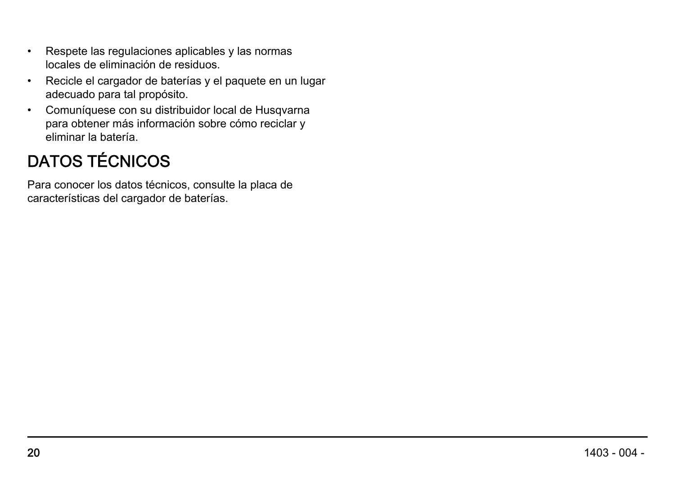- Respete las regulaciones aplicables y las normas locales de eliminación de residuos.
- Recicle el cargador de baterías y el paquete en un lugar adecuado para tal propósito.
- Comuníquese con su distribuidor local de Husqvarna para obtener más información sobre cómo reciclar y eliminar la batería.

#### DATOS TÉCNICOS

Para conocer los datos técnicos, consulte la placa de características del cargador de baterías.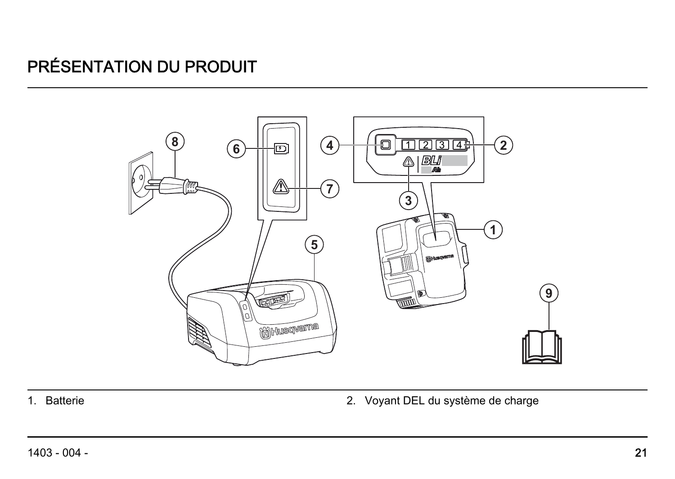#### PRÉSENTATION DU PRODUIT



1. Batterie 2. Voyant DEL du système de charge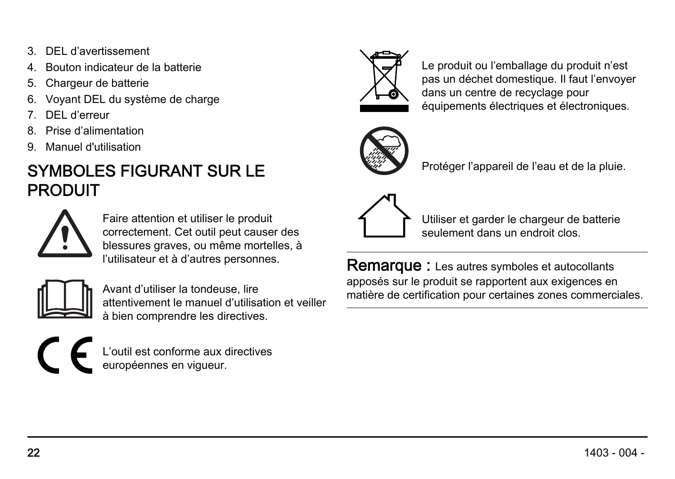- 3. DEL d'avertissement
- 4. Bouton indicateur de la batterie
- 5. Chargeur de batterie
- Voyant DEL du système de charge
- 7. DEL d'erreur
- 8. Prise d'alimentation
- 9. Manuel d'utilisation

#### SYMBOLES FIGURANT SUR LE PRODUIT



Faire attention et utiliser le produit correctement. Cet outil peut causer des blessures graves, ou même mortelles, à l'utilisateur et à d'autres personnes.



Avant d'utiliser la tondeuse, lire attentivement le manuel d'utilisation et veiller à bien comprendre les directives.





Le produit ou l'emballage du produit n'est pas un déchet domestique. Il faut l'envoyer dans un centre de recyclage pour équipements électriques et électroniques.



Protéger l'appareil de l'eau et de la pluie.



Utiliser et garder le chargeur de batterie seulement dans un endroit clos.

Remarque : Les autres symboles et autocollants apposés sur le produit se rapportent aux exigences en matière de certification pour certaines zones commerciales.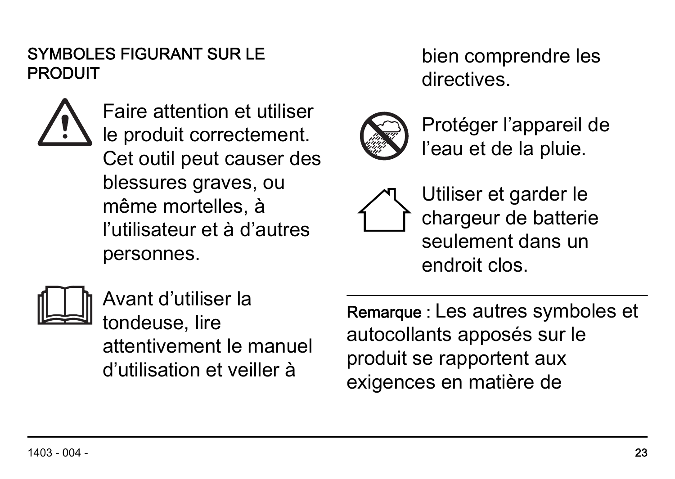#### SYMBOLES FIGURANT SUR LE PRODUIT

Faire attention et utiliser le produit correctement. Cet outil peut causer des blessures graves, ou même mortelles, à l'utilisateur et à d'autres personnes.

bien comprendre les directives.



Protéger l'appareil de l'eau et de la pluie.



Utiliser et garder le chargeur de batterie seulement dans un endroit clos.



Avant d'utiliser la tondeuse, lire attentivement le manuel d'utilisation et veiller à

Remarque : Les autres symboles et autocollants apposés sur le produit se rapportent aux exigences en matière de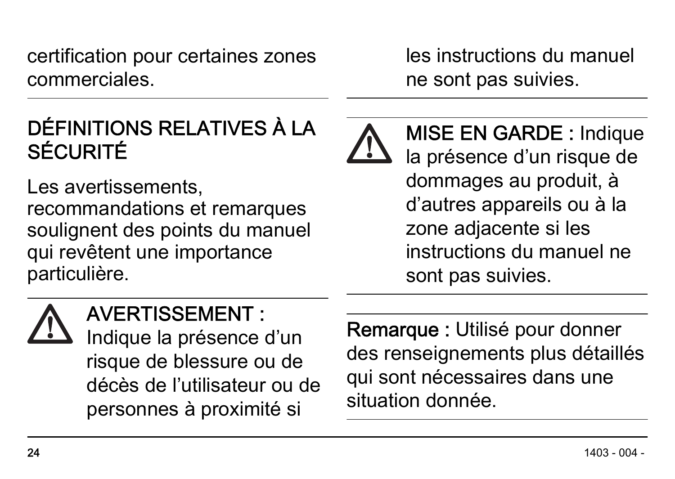certification pour certaines zones commerciales.

### DÉFINITIONS RELATIVES À LA SÉCURITÉ

Les avertissements. recommandations et remarques soulignent des points du manuel qui revêtent une importance particulière.

les instructions du manuel ne sont pas suivies.

MISE EN GARDE : Indique la présence d'un risque de dommages au produit, à d'autres appareils ou à la zone adjacente si les instructions du manuel ne sont pas suivies.

#### AVERTISSEMENT :

Indique la présence d'un risque de blessure ou de décès de l'utilisateur ou de personnes à proximité si

Remarque : Utilisé pour donner des renseignements plus détaillés qui sont nécessaires dans une situation donnée.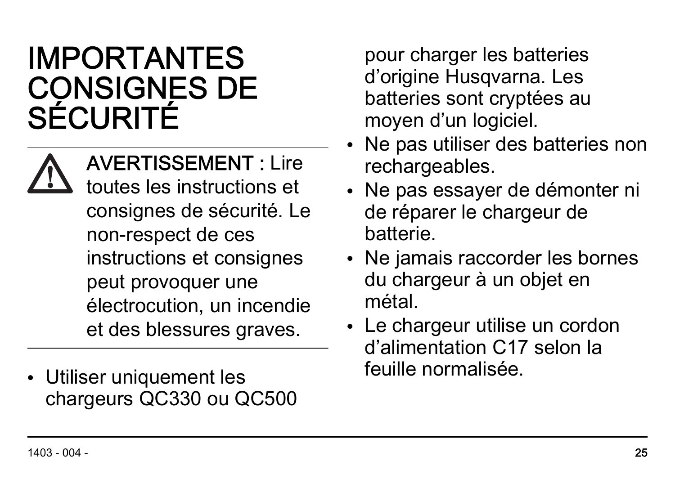## IMPORTANTES CONSIGNES DE SÉCURITÉ

AVERTISSEMENT : Lire toutes les instructions et consignes de sécurité. Le non-respect de ces instructions et consignes peut provoquer une électrocution, un incendie et des blessures graves.

• Utiliser uniquement les chargeurs QC330 ou QC500

pour charger les batteries d'origine Husqvarna. Les batteries sont cryptées au moyen d'un logiciel.

- Ne pas utiliser des batteries non rechargeables.
- Ne pas essayer de démonter ni de réparer le chargeur de batterie.
- Ne jamais raccorder les bornes du chargeur à un objet en métal.
- Le chargeur utilise un cordon d'alimentation C17 selon la feuille normalisée.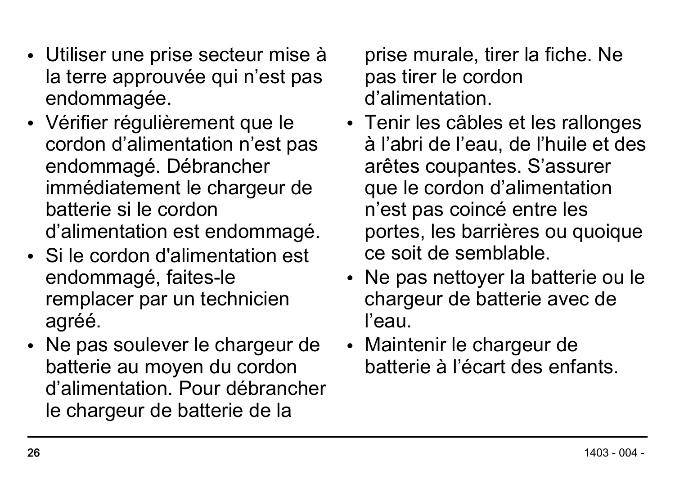- Utiliser une prise secteur mise à la terre approuvée qui n'est pas endommagée.
- Vérifier régulièrement que le cordon d'alimentation n'est pas endommagé. Débrancher immédiatement le chargeur de batterie si le cordon d'alimentation est endommagé.
- Si le cordon d'alimentation est endommagé, faites-le remplacer par un technicien agréé.
- Ne pas soulever le chargeur de batterie au moyen du cordon d'alimentation. Pour débrancher le chargeur de batterie de la

prise murale, tirer la fiche. Ne pas tirer le cordon d'alimentation.

- Tenir les câbles et les rallonges à l'abri de l'eau, de l'huile et des arêtes coupantes. S'assurer que le cordon d'alimentation n'est pas coincé entre les portes, les barrières ou quoique ce soit de semblable.
- Ne pas nettoyer la batterie ou le chargeur de batterie avec de l'eau.
- Maintenir le chargeur de batterie à l'écart des enfants.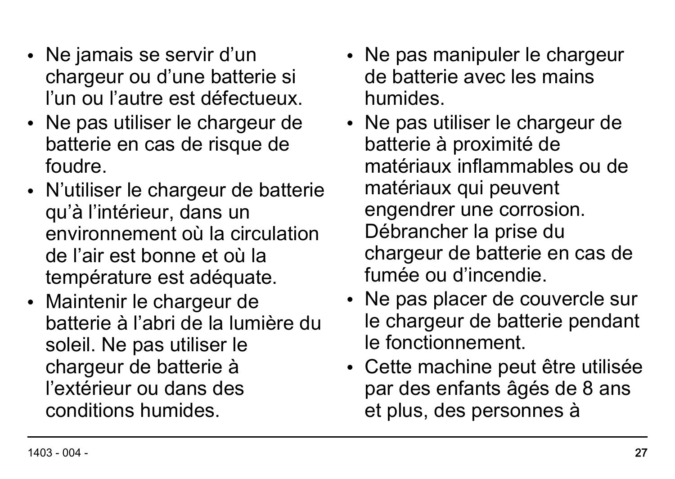- Ne jamais se servir d'un chargeur ou d'une batterie si l'un ou l'autre est défectueux.
- Ne pas utiliser le chargeur de batterie en cas de risque de foudre.
- N'utiliser le chargeur de batterie qu'à l'intérieur, dans un environnement où la circulation de l'air est bonne et où la température est adéquate.
- Maintenir le chargeur de batterie à l'abri de la lumière du soleil. Ne pas utiliser le chargeur de batterie à l'extérieur ou dans des conditions humides.
- Ne pas manipuler le chargeur de batterie avec les mains humides.
- Ne pas utiliser le chargeur de batterie à proximité de matériaux inflammables ou de matériaux qui peuvent engendrer une corrosion. Débrancher la prise du chargeur de batterie en cas de fumée ou d'incendie.
- Ne pas placer de couvercle sur le chargeur de batterie pendant le fonctionnement.
- Cette machine peut être utilisée par des enfants âgés de 8 ans et plus, des personnes à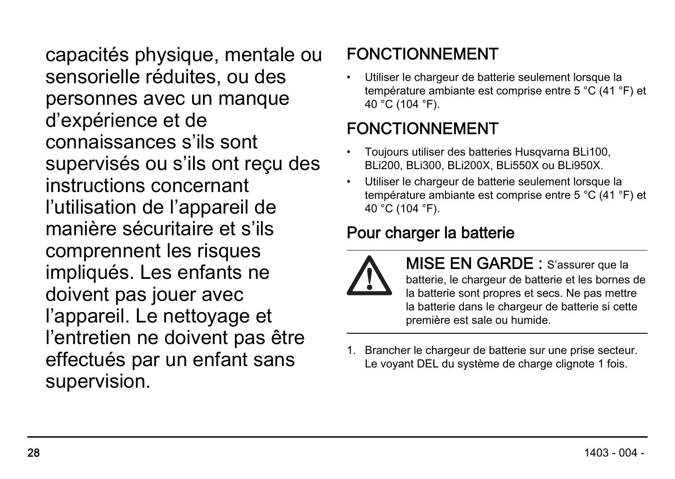capacités physique, mentale ou sensorielle réduites, ou des personnes avec un manque d'expérience et de connaissances s'ils sont supervisés ou s'ils ont reçu des instructions concernant l'utilisation de l'appareil de manière sécuritaire et s'ils comprennent les risques impliqués. Les enfants ne doivent pas jouer avec l'appareil. Le nettoyage et l'entretien ne doivent pas être effectués par un enfant sans supervision.

#### FONCTIONNEMENT

Utiliser le chargeur de batterie seulement lorsque la température ambiante est comprise entre 5 °C (41 °F) et 40 °C (104 °F).

#### FONCTIONNEMENT

- Toujours utiliser des batteries Husqvarna BLi100, BLi200, BLi300, BLi200X, BLi550X ou BLi950X.
- Utiliser le chargeur de batterie seulement lorsque la température ambiante est comprise entre 5 °C (41 °F) et 40 °C (104 °F).

#### Pour charger la batterie



MISE EN GARDE : S'assurer que la batterie, le chargeur de batterie et les bornes de la batterie sont propres et secs. Ne pas mettre la batterie dans le chargeur de batterie si cette première est sale ou humide.

1. Brancher le chargeur de batterie sur une prise secteur. Le voyant DEL du système de charge clignote 1 fois.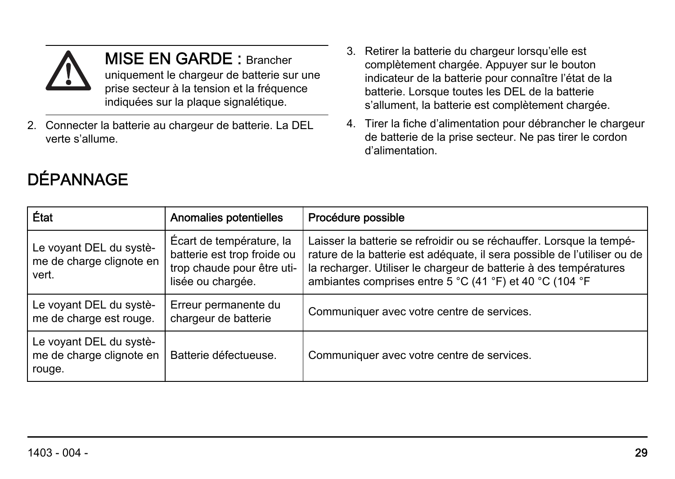

MISE EN GARDE : Brancher uniquement le chargeur de batterie sur une prise secteur à la tension et la fréquence indiquées sur la plaque signalétique.

- 2. Connecter la batterie au chargeur de batterie. La DEL verte s'allume.
- **DÉPANNAGE**
- 3. Retirer la batterie du chargeur lorsqu'elle est complètement chargée. Appuyer sur le bouton indicateur de la batterie pour connaître l'état de la batterie. Lorsque toutes les DEL de la batterie s'allument, la batterie est complètement chargée.
- 4. Tirer la fiche d'alimentation pour débrancher le chargeur de batterie de la prise secteur. Ne pas tirer le cordon d'alimentation.

| État                                                          | Anomalies potentielles                                                                                     | Procédure possible                                                                                                                                                                                                                                                                |
|---------------------------------------------------------------|------------------------------------------------------------------------------------------------------------|-----------------------------------------------------------------------------------------------------------------------------------------------------------------------------------------------------------------------------------------------------------------------------------|
| Le voyant DEL du systè-<br>me de charge clignote en<br>vert.  | Écart de température, la<br>batterie est trop froide ou<br>trop chaude pour être uti-<br>lisée ou chargée. | Laisser la batterie se refroidir ou se réchauffer. Lorsque la tempé-<br>rature de la batterie est adéquate, il sera possible de l'utiliser ou de<br>la recharger. Utiliser le chargeur de batterie à des températures<br>ambiantes comprises entre 5 °C (41 °F) et 40 °C (104 °F) |
| Le voyant DEL du systè-<br>me de charge est rouge.            | Erreur permanente du<br>chargeur de batterie                                                               | Communiquer avec votre centre de services.                                                                                                                                                                                                                                        |
| Le voyant DEL du systè-<br>me de charge clignote en<br>rouge. | Batterie défectueuse.                                                                                      | Communiquer avec votre centre de services.                                                                                                                                                                                                                                        |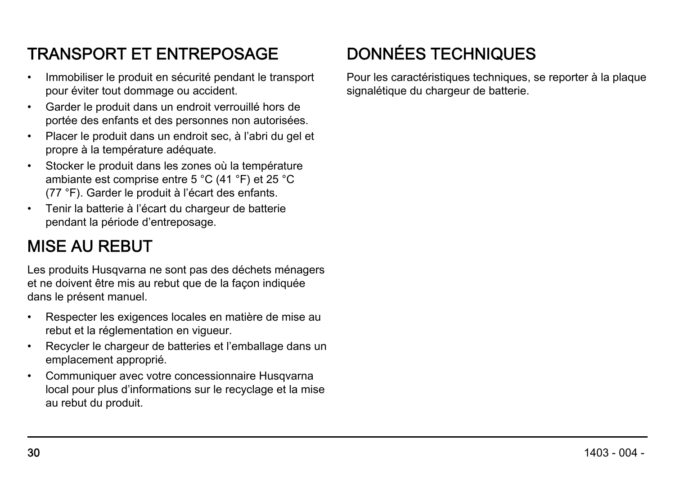#### TRANSPORT ET ENTREPOSAGE

- Immobiliser le produit en sécurité pendant le transport pour éviter tout dommage ou accident.
- Garder le produit dans un endroit verrouillé hors de portée des enfants et des personnes non autorisées.
- Placer le produit dans un endroit sec, à l'abri du gel et propre à la température adéquate.
- Stocker le produit dans les zones où la température ambiante est comprise entre 5 °C (41 °F) et 25 °C (77 °F). Garder le produit à l'écart des enfants.
- Tenir la batterie à l'écart du chargeur de batterie pendant la période d'entreposage.

#### MISE AU REBUT

Les produits Husqvarna ne sont pas des déchets ménagers et ne doivent être mis au rebut que de la façon indiquée dans le présent manuel.

- Respecter les exigences locales en matière de mise au rebut et la réglementation en vigueur.
- Recycler le chargeur de batteries et l'emballage dans un emplacement approprié.
- Communiquer avec votre concessionnaire Husqvarna local pour plus d'informations sur le recyclage et la mise au rebut du produit.

#### DONNÉES TECHNIQUES

Pour les caractéristiques techniques, se reporter à la plaque signalétique du chargeur de batterie.